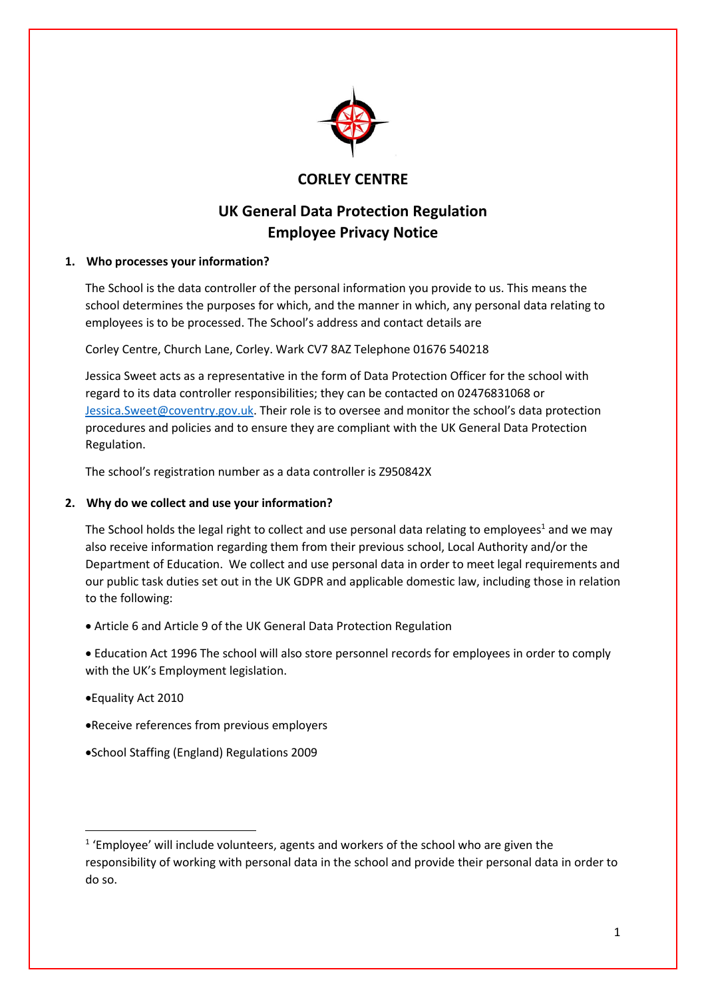

# **CORLEY CENTRE**

# **UK General Data Protection Regulation Employee Privacy Notice**

# **1. Who processes your information?**

The School is the data controller of the personal information you provide to us. This means the school determines the purposes for which, and the manner in which, any personal data relating to employees is to be processed. The School's address and contact details are

Corley Centre, Church Lane, Corley. Wark CV7 8AZ Telephone 01676 540218

Jessica Sweet acts as a representative in the form of Data Protection Officer for the school with regard to its data controller responsibilities; they can be contacted on 02476831068 or [Jessica.Sweet@coventry.gov.uk](mailto:Jessica.Sweet@coventry.gov.uk). Their role is to oversee and monitor the school's data protection procedures and policies and to ensure they are compliant with the UK General Data Protection Regulation.

The school's registration number as a data controller is Z950842X

# **2. Why do we collect and use your information?**

The School holds the legal right to collect and use personal data relating to employees<sup>1</sup> and we may also receive information regarding them from their previous school, Local Authority and/or the Department of Education. We collect and use personal data in order to meet legal requirements and our public task duties set out in the UK GDPR and applicable domestic law, including those in relation to the following:

Article 6 and Article 9 of the UK General Data Protection Regulation

 Education Act 1996 The school will also store personnel records for employees in order to comply with the UK's Employment legislation.

Equality Act 2010

**.** 

- Receive references from previous employers
- School Staffing (England) Regulations 2009

<sup>&</sup>lt;sup>1</sup> 'Employee' will include volunteers, agents and workers of the school who are given the responsibility of working with personal data in the school and provide their personal data in order to do so.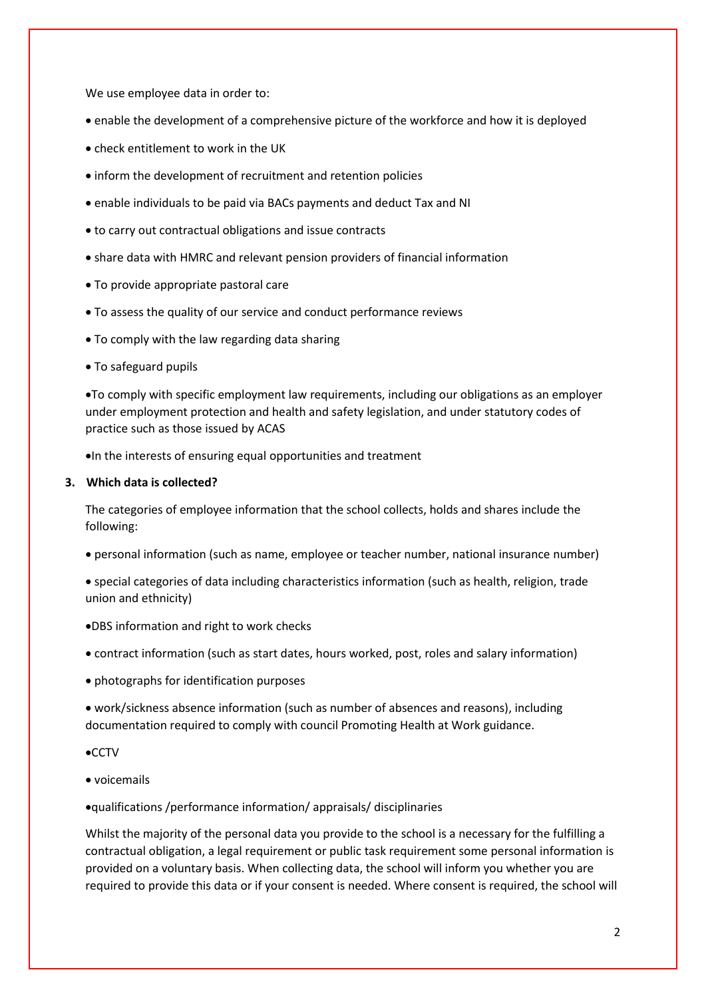We use employee data in order to:

- enable the development of a comprehensive picture of the workforce and how it is deployed
- check entitlement to work in the UK
- inform the development of recruitment and retention policies
- enable individuals to be paid via BACs payments and deduct Tax and NI
- to carry out contractual obligations and issue contracts
- share data with HMRC and relevant pension providers of financial information
- To provide appropriate pastoral care
- To assess the quality of our service and conduct performance reviews
- To comply with the law regarding data sharing
- To safeguard pupils

To comply with specific employment law requirements, including our obligations as an employer under employment protection and health and safety legislation, and under statutory codes of practice such as those issued by ACAS

 $\bullet$ In the interests of ensuring equal opportunities and treatment

# **3. Which data is collected?**

The categories of employee information that the school collects, holds and shares include the following:

- personal information (such as name, employee or teacher number, national insurance number)
- special categories of data including characteristics information (such as health, religion, trade union and ethnicity)
- DBS information and right to work checks
- contract information (such as start dates, hours worked, post, roles and salary information)
- photographs for identification purposes

 work/sickness absence information (such as number of absences and reasons), including documentation required to comply with council Promoting Health at Work guidance.

- $\bullet$ CCTV
- voicemails

qualifications /performance information/ appraisals/ disciplinaries

Whilst the majority of the personal data you provide to the school is a necessary for the fulfilling a contractual obligation, a legal requirement or public task requirement some personal information is provided on a voluntary basis. When collecting data, the school will inform you whether you are required to provide this data or if your consent is needed. Where consent is required, the school will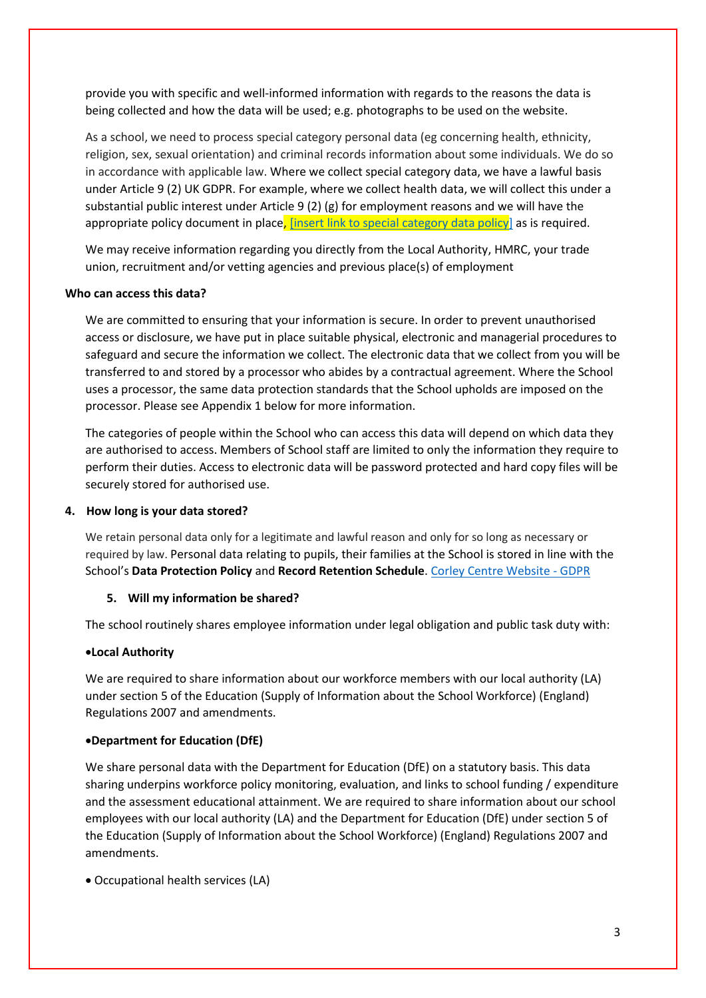provide you with specific and well-informed information with regards to the reasons the data is being collected and how the data will be used; e.g. photographs to be used on the website.

As a school, we need to process special category personal data (eg concerning health, ethnicity, religion, sex, sexual orientation) and criminal records information about some individuals. We do so in accordance with applicable law. Where we collect special category data, we have a lawful basis under Article 9 (2) UK GDPR. For example, where we collect health data, we will collect this under a substantial public interest under Article 9 (2) (g) for employment reasons and we will have the appropriate policy document in place, [\[insert link to special category data policy\]](http://corleycentre.co.uk/wp-content/uploads/2020/02/GDPR-Special-Category-Data-Policy-2019.pdf) as is required.

We may receive information regarding you directly from the Local Authority, HMRC, your trade union, recruitment and/or vetting agencies and previous place(s) of employment

#### **Who can access this data?**

We are committed to ensuring that your information is secure. In order to prevent unauthorised access or disclosure, we have put in place suitable physical, electronic and managerial procedures to safeguard and secure the information we collect. The electronic data that we collect from you will be transferred to and stored by a processor who abides by a contractual agreement. Where the School uses a processor, the same data protection standards that the School upholds are imposed on the processor. Please see Appendix 1 below for more information.

The categories of people within the School who can access this data will depend on which data they are authorised to access. Members of School staff are limited to only the information they require to perform their duties. Access to electronic data will be password protected and hard copy files will be securely stored for authorised use.

#### **4. How long is your data stored?**

We retain personal data only for a legitimate and lawful reason and only for so long as necessary or required by law. Personal data relating to pupils, their families at the School is stored in line with the School's **Data Protection Policy** and **Record Retention Schedule**. [Corley Centre Website -](http://corleycentre.co.uk/test-2/) GDPR

### **5. Will my information be shared?**

The school routinely shares employee information under legal obligation and public task duty with:

#### **Local Authority**

We are required to share information about our workforce members with our local authority (LA) under section 5 of the Education (Supply of Information about the School Workforce) (England) Regulations 2007 and amendments.

#### **Department for Education (DfE)**

We share personal data with the Department for Education (DfE) on a statutory basis. This data sharing underpins workforce policy monitoring, evaluation, and links to school funding / expenditure and the assessment educational attainment. We are required to share information about our school employees with our local authority (LA) and the Department for Education (DfE) under section 5 of the Education (Supply of Information about the School Workforce) (England) Regulations 2007 and amendments.

Occupational health services (LA)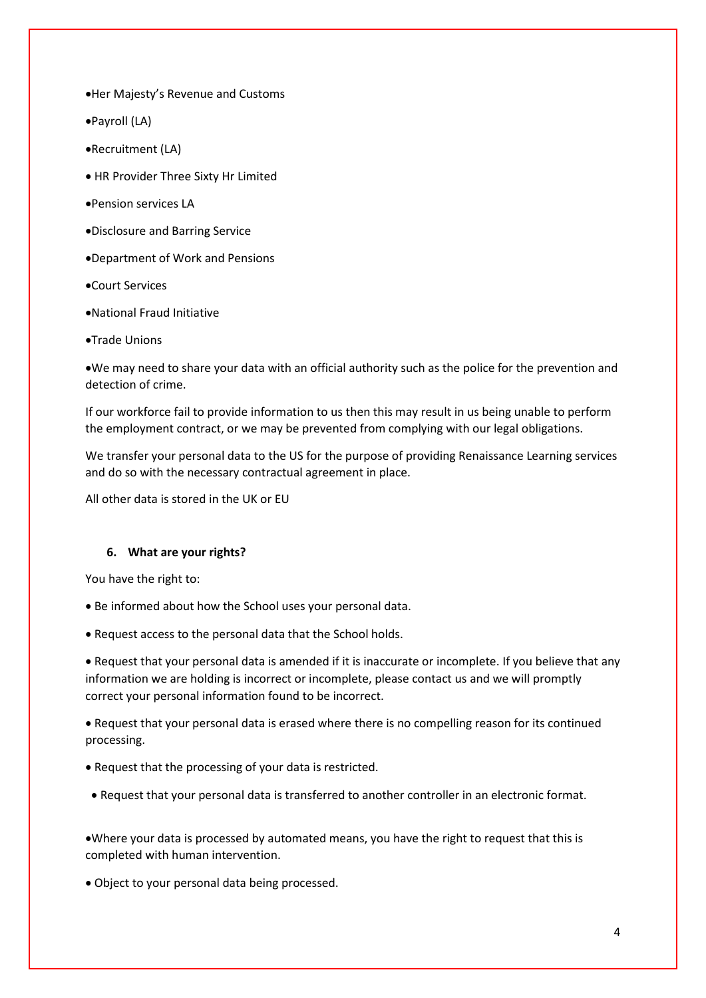Her Majesty's Revenue and Customs

Payroll (LA)

Recruitment (LA)

HR Provider Three Sixty Hr Limited

- Pension services LA
- Disclosure and Barring Service
- Department of Work and Pensions
- Court Services
- National Fraud Initiative
- Trade Unions

We may need to share your data with an official authority such as the police for the prevention and detection of crime.

If our workforce fail to provide information to us then this may result in us being unable to perform the employment contract, or we may be prevented from complying with our legal obligations.

We transfer your personal data to the US for the purpose of providing Renaissance Learning services and do so with the necessary contractual agreement in place.

All other data is stored in the UK or EU

### **6. What are your rights?**

You have the right to:

- Be informed about how the School uses your personal data.
- Request access to the personal data that the School holds.

 Request that your personal data is amended if it is inaccurate or incomplete. If you believe that any information we are holding is incorrect or incomplete, please contact us and we will promptly correct your personal information found to be incorrect.

 Request that your personal data is erased where there is no compelling reason for its continued processing.

- Request that the processing of your data is restricted.
- Request that your personal data is transferred to another controller in an electronic format.

Where your data is processed by automated means, you have the right to request that this is completed with human intervention.

Object to your personal data being processed.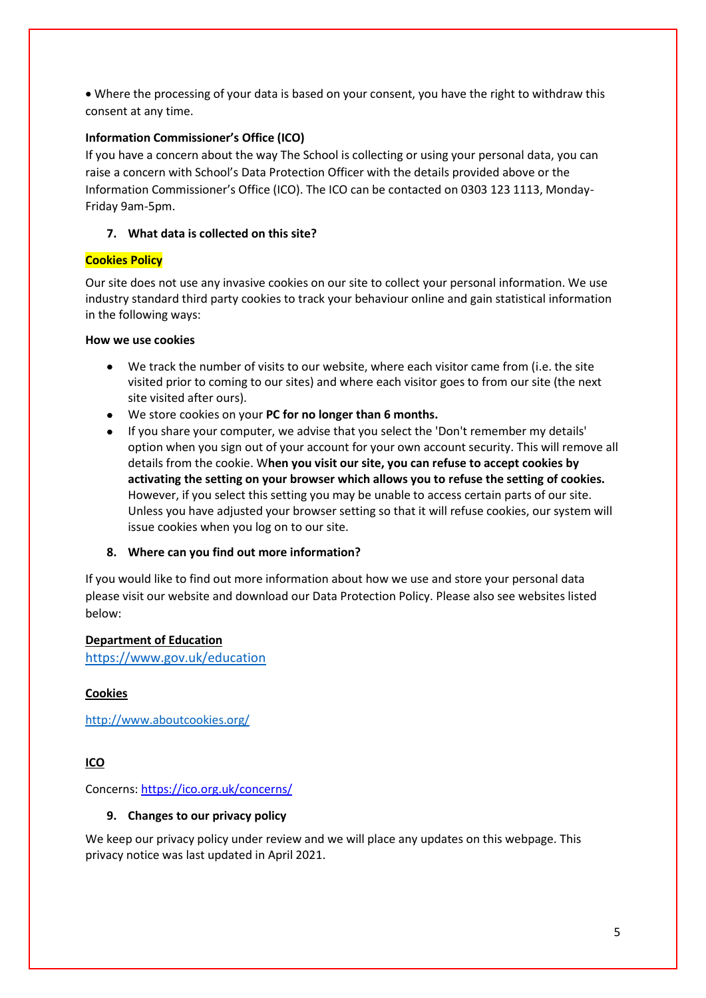Where the processing of your data is based on your consent, you have the right to withdraw this consent at any time.

#### **Information Commissioner's Office (ICO)**

If you have a concern about the way The School is collecting or using your personal data, you can raise a concern with School's Data Protection Officer with the details provided above or the Information Commissioner's Office (ICO). The ICO can be contacted on 0303 123 1113, Monday-Friday 9am-5pm.

#### **7. What data is collected on this site?**

#### **Cookies Policy**

Our site does not use any invasive cookies on our site to collect your personal information. We use industry standard third party cookies to track your behaviour online and gain statistical information in the following ways:

#### **How we use cookies**

- We track the number of visits to our website, where each visitor came from (i.e. the site visited prior to coming to our sites) and where each visitor goes to from our site (the next site visited after ours).
- We store cookies on your **PC for no longer than 6 months.**
- If you share your computer, we advise that you select the 'Don't remember my details' option when you sign out of your account for your own account security. This will remove all details from the cookie. W**hen you visit our site, you can refuse to accept cookies by activating the setting on your browser which allows you to refuse the setting of cookies.**  However, if you select this setting you may be unable to access certain parts of our site. Unless you have adjusted your browser setting so that it will refuse cookies, our system will issue cookies when you log on to our site.

#### **8. Where can you find out more information?**

If you would like to find out more information about how we use and store your personal data please visit our website and download our Data Protection Policy. Please also see websites listed below:

#### **Department of Education**

[https://www.gov.uk/education](https://www.gov.uk/education/data-collection-and-censuses-for-schools)

#### **Cookies**

<http://www.aboutcookies.org/>

# **ICO**

Concerns:<https://ico.org.uk/concerns/>

#### **9. Changes to our privacy policy**

We keep our privacy policy under review and we will place any updates on this webpage. This privacy notice was last updated in April 2021.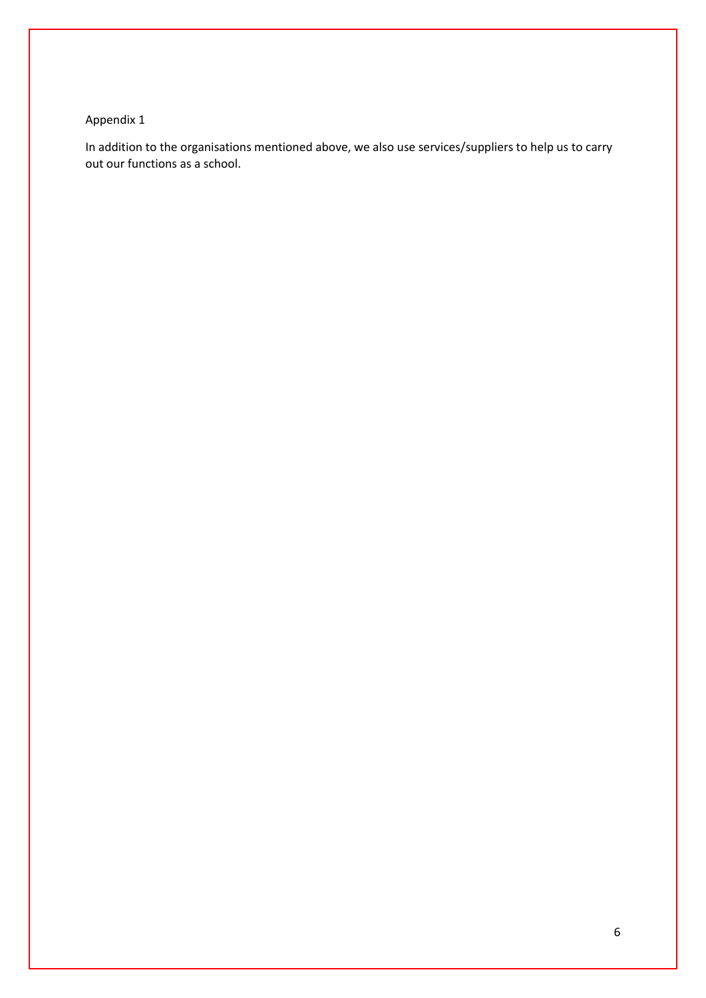# Appendix 1

In addition to the organisations mentioned above, we also use services/suppliers to help us to carry out our functions as a school.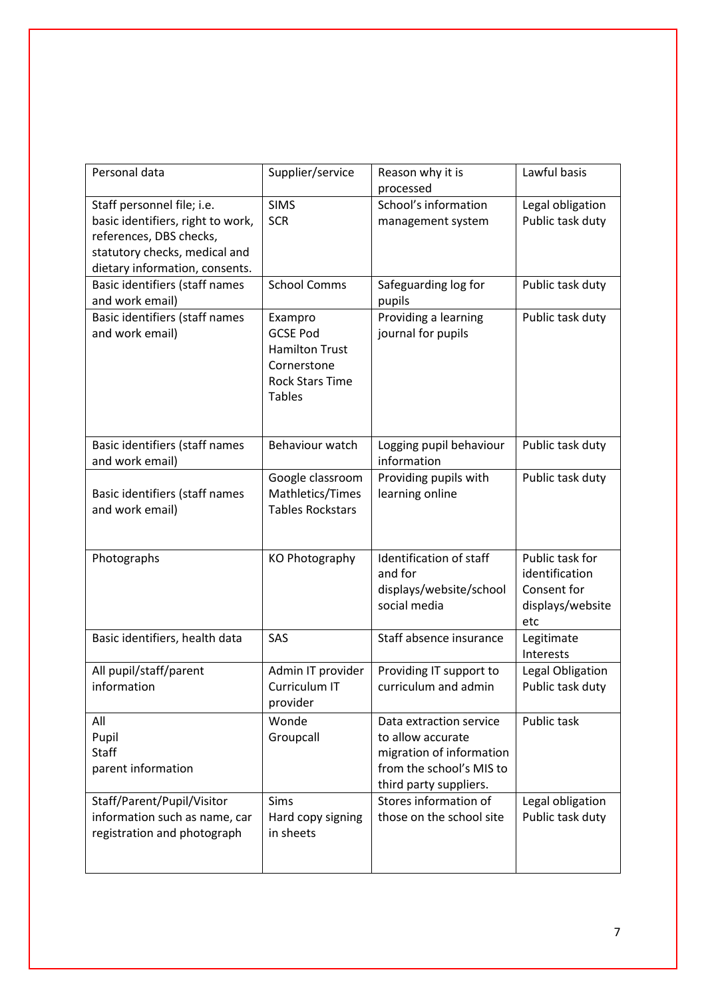| Personal data                     | Supplier/service        | Reason why it is<br>processed | Lawful basis     |
|-----------------------------------|-------------------------|-------------------------------|------------------|
| Staff personnel file; i.e.        | <b>SIMS</b>             | School's information          | Legal obligation |
| basic identifiers, right to work, | <b>SCR</b>              | management system             | Public task duty |
| references, DBS checks,           |                         |                               |                  |
| statutory checks, medical and     |                         |                               |                  |
| dietary information, consents.    |                         |                               |                  |
| Basic identifiers (staff names    | <b>School Comms</b>     | Safeguarding log for          | Public task duty |
| and work email)                   |                         | pupils                        |                  |
| Basic identifiers (staff names    | Exampro                 | Providing a learning          | Public task duty |
| and work email)                   | <b>GCSE Pod</b>         | journal for pupils            |                  |
|                                   | <b>Hamilton Trust</b>   |                               |                  |
|                                   | Cornerstone             |                               |                  |
|                                   | <b>Rock Stars Time</b>  |                               |                  |
|                                   | <b>Tables</b>           |                               |                  |
|                                   |                         |                               |                  |
|                                   |                         |                               |                  |
| Basic identifiers (staff names    | Behaviour watch         | Logging pupil behaviour       | Public task duty |
| and work email)                   |                         | information                   |                  |
|                                   | Google classroom        | Providing pupils with         | Public task duty |
| Basic identifiers (staff names    | Mathletics/Times        | learning online               |                  |
| and work email)                   | <b>Tables Rockstars</b> |                               |                  |
|                                   |                         |                               |                  |
| Photographs                       | KO Photography          | Identification of staff       | Public task for  |
|                                   |                         | and for                       | identification   |
|                                   |                         | displays/website/school       | Consent for      |
|                                   |                         | social media                  | displays/website |
|                                   |                         |                               | etc              |
| Basic identifiers, health data    | SAS                     | Staff absence insurance       | Legitimate       |
|                                   |                         |                               | Interests        |
| All pupil/staff/parent            | Admin IT provider       | Providing IT support to       | Legal Obligation |
| information                       | Curriculum IT           | curriculum and admin          | Public task duty |
|                                   | provider                |                               |                  |
| All                               | Wonde                   | Data extraction service       | Public task      |
| Pupil                             | Groupcall               | to allow accurate             |                  |
| <b>Staff</b>                      |                         | migration of information      |                  |
| parent information                |                         | from the school's MIS to      |                  |
|                                   |                         | third party suppliers.        |                  |
| Staff/Parent/Pupil/Visitor        | Sims                    | Stores information of         | Legal obligation |
| information such as name, car     | Hard copy signing       | those on the school site      | Public task duty |
| registration and photograph       | in sheets               |                               |                  |
|                                   |                         |                               |                  |
|                                   |                         |                               |                  |